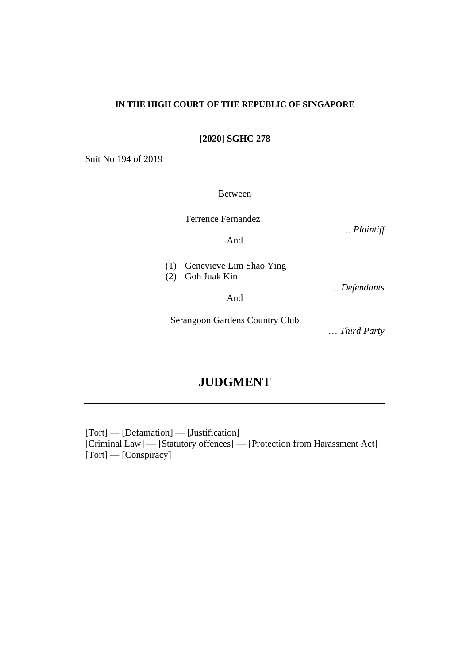#### **IN THE HIGH COURT OF THE REPUBLIC OF SINGAPORE**

**[2020] SGHC 278**

Suit No 194 of 2019

Between

Terrence Fernandez

… *Plaintiff*

And

| (1) Genevieve Lim Shao Ying |
|-----------------------------|
| (2) Goh Juak Kin            |

And

Serangoon Gardens Country Club

… *Third Party*

… *Defendants*

# **JUDGMENT**

[Tort] — [Defamation] — [Justification] [Criminal Law] — [Statutory offences] — [Protection from Harassment Act] [Tort] — [Conspiracy]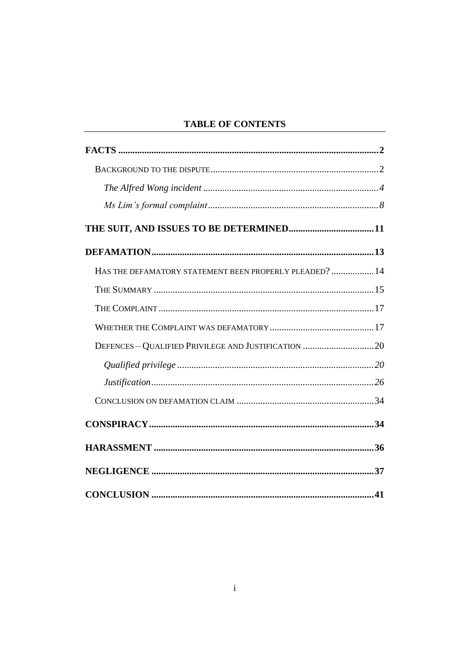# **TABLE OF CONTENTS**

| HAS THE DEFAMATORY STATEMENT BEEN PROPERLY PLEADED?  14 |  |
|---------------------------------------------------------|--|
|                                                         |  |
|                                                         |  |
|                                                         |  |
|                                                         |  |
|                                                         |  |
|                                                         |  |
|                                                         |  |
|                                                         |  |
|                                                         |  |
|                                                         |  |
|                                                         |  |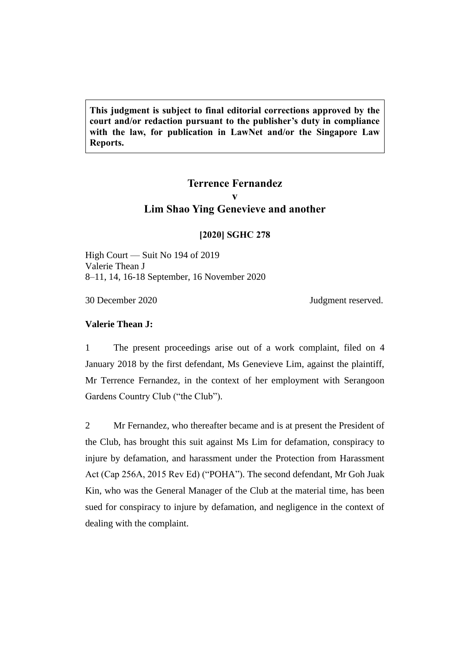**This judgment is subject to final editorial corrections approved by the court and/or redaction pursuant to the publisher's duty in compliance with the law, for publication in LawNet and/or the Singapore Law Reports.**

# **Terrence Fernandez v Lim Shao Ying Genevieve and another**

## **[2020] SGHC 278**

High Court — Suit No 194 of 2019 Valerie Thean J 8–11, 14, 16-18 September, 16 November 2020

30 December 2020 Judgment reserved.

# **Valerie Thean J:**

1 The present proceedings arise out of a work complaint, filed on 4 January 2018 by the first defendant, Ms Genevieve Lim, against the plaintiff, Mr Terrence Fernandez, in the context of her employment with Serangoon Gardens Country Club ("the Club").

2 Mr Fernandez, who thereafter became and is at present the President of the Club, has brought this suit against Ms Lim for defamation, conspiracy to injure by defamation, and harassment under the Protection from Harassment Act (Cap 256A, 2015 Rev Ed) ("POHA"). The second defendant, Mr Goh Juak Kin, who was the General Manager of the Club at the material time, has been sued for conspiracy to injure by defamation, and negligence in the context of dealing with the complaint.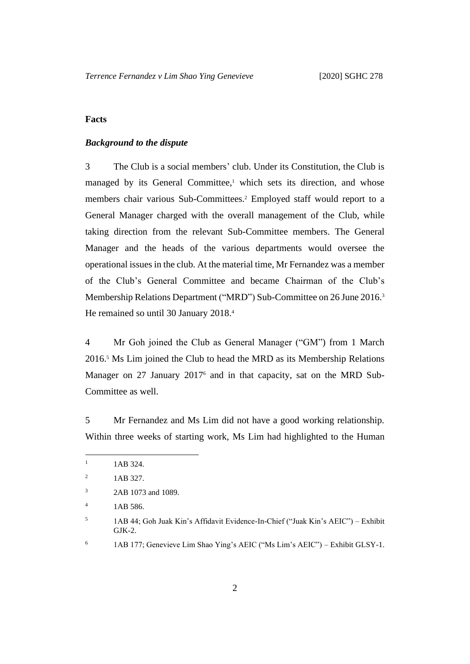## <span id="page-3-1"></span><span id="page-3-0"></span>**Facts**

### *Background to the dispute*

3 The Club is a social members' club. Under its Constitution, the Club is managed by its General Committee, <sup>1</sup> which sets its direction, and whose members chair various Sub-Committees.<sup>2</sup> Employed staff would report to a General Manager charged with the overall management of the Club, while taking direction from the relevant Sub-Committee members. The General Manager and the heads of the various departments would oversee the operational issues in the club. At the material time, Mr Fernandez was a member of the Club's General Committee and became Chairman of the Club's Membership Relations Department ("MRD") Sub-Committee on 26 June 2016. 3 He remained so until 30 January 2018. 4

4 Mr Goh joined the Club as General Manager ("GM") from 1 March 2016. <sup>5</sup> Ms Lim joined the Club to head the MRD as its Membership Relations Manager on 27 January 2017<sup>6</sup> and in that capacity, sat on the MRD Sub-Committee as well.

5 Mr Fernandez and Ms Lim did not have a good working relationship. Within three weeks of starting work, Ms Lim had highlighted to the Human

 $1 \quad 1AB\,324.$ 

<sup>&</sup>lt;sup>2</sup> 1AB 327.

<sup>&</sup>lt;sup>3</sup> 2AB 1073 and 1089.

 $1AB\,586.$ 

<sup>5</sup> 1AB 44; Goh Juak Kin's Affidavit Evidence-In-Chief ("Juak Kin's AEIC") – Exhibit GJK-2.

<sup>6</sup> 1AB 177; Genevieve Lim Shao Ying's AEIC ("Ms Lim's AEIC") – Exhibit GLSY-1.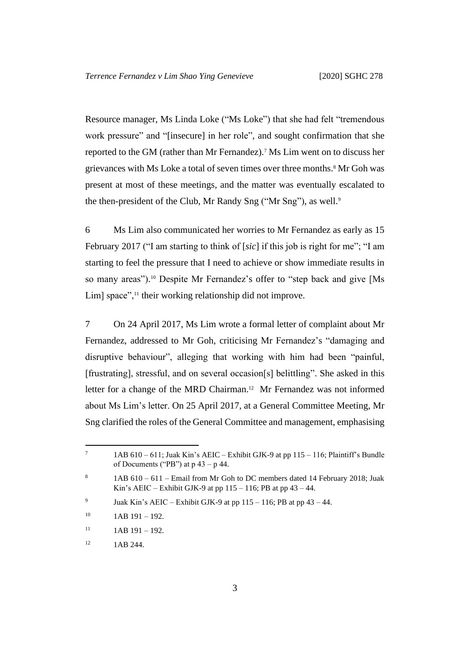Resource manager, Ms Linda Loke ("Ms Loke") that she had felt "tremendous work pressure" and "[insecure] in her role", and sought confirmation that she reported to the GM (rather than Mr Fernandez). <sup>7</sup> Ms Lim went on to discuss her grievances with Ms Loke a total of seven times over three months.<sup>8</sup> Mr Goh was present at most of these meetings, and the matter was eventually escalated to the then-president of the Club, Mr Randy Sng ("Mr Sng"), as well.<sup>9</sup>

6 Ms Lim also communicated her worries to Mr Fernandez as early as 15 February 2017 ("I am starting to think of [*sic*] if this job is right for me"; "I am starting to feel the pressure that I need to achieve or show immediate results in so many areas"). <sup>10</sup> Despite Mr Fernandez's offer to "step back and give [Ms Lim] space",<sup>11</sup> their working relationship did not improve.

7 On 24 April 2017, Ms Lim wrote a formal letter of complaint about Mr Fernandez, addressed to Mr Goh, criticising Mr Fernandez's "damaging and disruptive behaviour", alleging that working with him had been "painful, [frustrating], stressful, and on several occasion[s] belittling". She asked in this letter for a change of the MRD Chairman.<sup>12</sup> Mr Fernandez was not informed about Ms Lim's letter. On 25 April 2017, at a General Committee Meeting, Mr Sng clarified the roles of the General Committee and management, emphasising

<sup>&</sup>lt;sup>7</sup> 1AB 610 – 611; Juak Kin's AEIC – Exhibit GJK-9 at pp 115 – 116; Plaintiff's Bundle of Documents ("PB") at  $p$  43 –  $p$  44.

<sup>&</sup>lt;sup>8</sup> 1AB  $610 - 611$  – Email from Mr Goh to DC members dated 14 February 2018; Juak Kin's AEIC – Exhibit GJK-9 at pp  $115 - 116$ ; PB at pp  $43 - 44$ .

<sup>9</sup> Juak Kin's AEIC – Exhibit GJK-9 at pp  $115 - 116$ ; PB at pp  $43 - 44$ .

 $10$  1AB 191 – 192.

 $11$  1AB 191 – 192.

 $12$  1AB 244.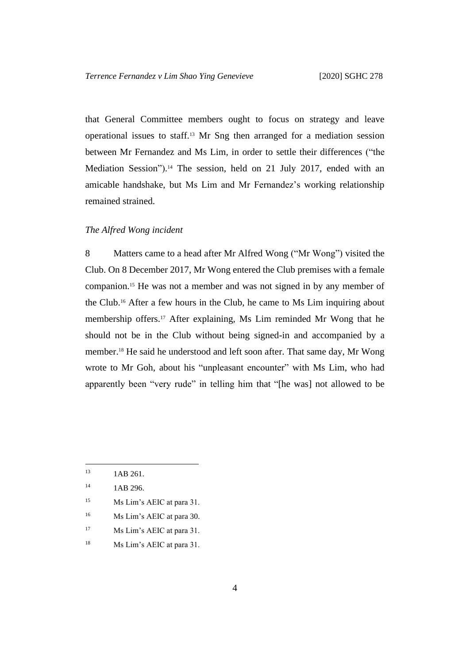that General Committee members ought to focus on strategy and leave operational issues to staff.<sup>13</sup> Mr Sng then arranged for a mediation session between Mr Fernandez and Ms Lim, in order to settle their differences ("the Mediation Session"). <sup>14</sup> The session, held on 21 July 2017, ended with an amicable handshake, but Ms Lim and Mr Fernandez's working relationship remained strained.

## <span id="page-5-0"></span>*The Alfred Wong incident*

8 Matters came to a head after Mr Alfred Wong ("Mr Wong") visited the Club. On 8 December 2017, Mr Wong entered the Club premises with a female companion.<sup>15</sup> He was not a member and was not signed in by any member of the Club.<sup>16</sup> After a few hours in the Club, he came to Ms Lim inquiring about membership offers.<sup>17</sup> After explaining, Ms Lim reminded Mr Wong that he should not be in the Club without being signed-in and accompanied by a member.<sup>18</sup> He said he understood and left soon after. That same day, Mr Wong wrote to Mr Goh, about his "unpleasant encounter" with Ms Lim, who had apparently been "very rude" in telling him that "[he was] not allowed to be

- <sup>15</sup> Ms Lim's AEIC at para 31.
- <sup>16</sup> Ms Lim's AEIC at para 30.
- <sup>17</sup> Ms Lim's AEIC at para 31.
- <sup>18</sup> Ms Lim's AEIC at para 31.

 $13$  1AB 261.

 $14$  1AB 296.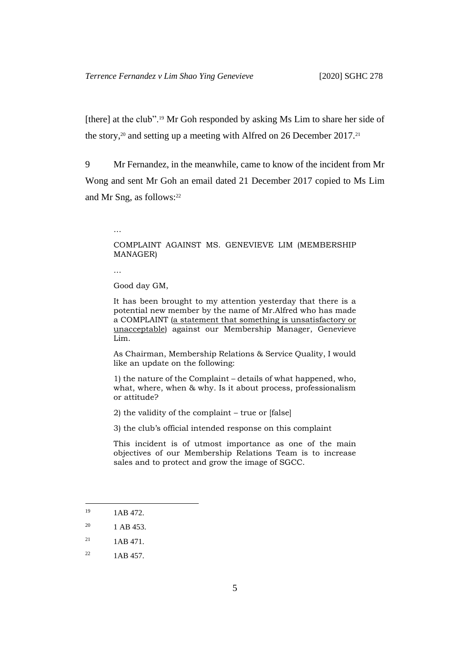[there] at the club".<sup>19</sup> Mr Goh responded by asking Ms Lim to share her side of the story,<sup>20</sup> and setting up a meeting with Alfred on 26 December 2017.<sup>21</sup>

9 Mr Fernandez, in the meanwhile, came to know of the incident from Mr Wong and sent Mr Goh an email dated 21 December 2017 copied to Ms Lim and Mr Sng, as follows: 22

# COMPLAINT AGAINST MS. GENEVIEVE LIM (MEMBERSHIP MANAGER)

…

…

Good day GM,

It has been brought to my attention yesterday that there is a potential new member by the name of Mr.Alfred who has made a COMPLAINT (a statement that something is unsatisfactory or unacceptable) against our Membership Manager, Genevieve Lim.

As Chairman, Membership Relations & Service Quality, I would like an update on the following:

1) the nature of the Complaint – details of what happened, who, what, where, when & why. Is it about process, professionalism or attitude?

2) the validity of the complaint – true or [false]

3) the club's official intended response on this complaint

This incident is of utmost importance as one of the main objectives of our Membership Relations Team is to increase sales and to protect and grow the image of SGCC.

<sup>&</sup>lt;sup>19</sup> 1AB 472.

 $^{20}$  1 AB 453.

 $^{21}$  1AB 471.

 $^{22}$  1AB 457.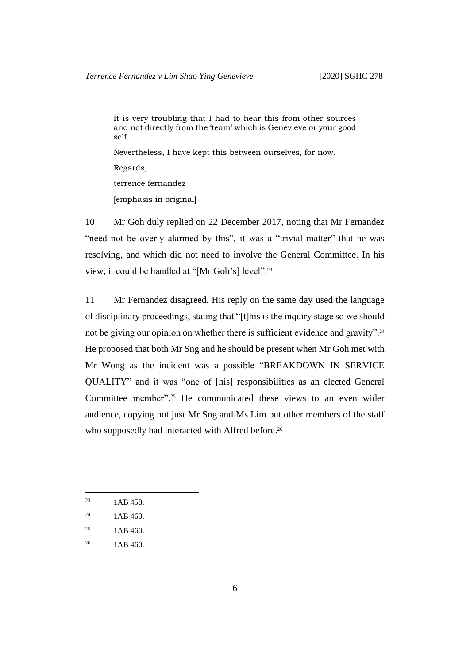It is very troubling that I had to hear this from other sources and not directly from the 'team' which is Genevieve or your good self.

Nevertheless, I have kept this between ourselves, for now.

Regards,

terrence fernandez

[emphasis in original]

10 Mr Goh duly replied on 22 December 2017, noting that Mr Fernandez "need not be overly alarmed by this", it was a "trivial matter" that he was resolving, and which did not need to involve the General Committee. In his view, it could be handled at "[Mr Goh's] level".<sup>23</sup>

11 Mr Fernandez disagreed. His reply on the same day used the language of disciplinary proceedings, stating that "[t]his is the inquiry stage so we should not be giving our opinion on whether there is sufficient evidence and gravity".<sup>24</sup> He proposed that both Mr Sng and he should be present when Mr Goh met with Mr Wong as the incident was a possible "BREAKDOWN IN SERVICE QUALITY" and it was "one of [his] responsibilities as an elected General Committee member".<sup>25</sup> He communicated these views to an even wider audience, copying not just Mr Sng and Ms Lim but other members of the staff who supposedly had interacted with Alfred before.<sup>26</sup>

<sup>&</sup>lt;sup>23</sup> 1AB 458.

<sup>&</sup>lt;sup>24</sup> 1AB 460.

 $1AB$  460.

 $1AB\,460.$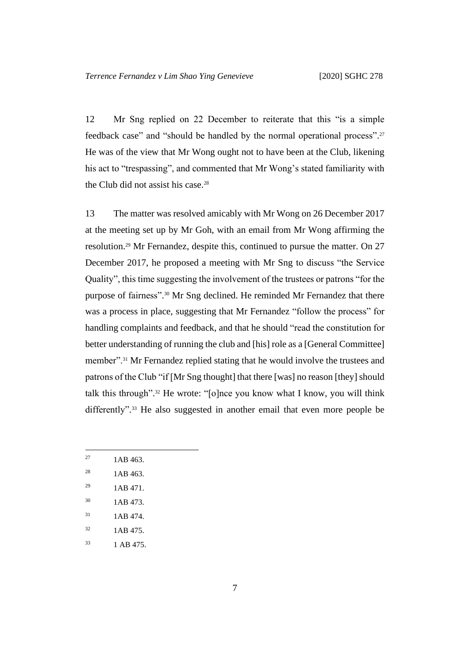12 Mr Sng replied on 22 December to reiterate that this "is a simple feedback case" and "should be handled by the normal operational process". 27 He was of the view that Mr Wong ought not to have been at the Club, likening his act to "trespassing", and commented that Mr Wong's stated familiarity with the Club did not assist his case.<sup>28</sup>

<span id="page-8-0"></span>13 The matter was resolved amicably with Mr Wong on 26 December 2017 at the meeting set up by Mr Goh, with an email from Mr Wong affirming the resolution. <sup>29</sup> Mr Fernandez, despite this, continued to pursue the matter. On 27 December 2017, he proposed a meeting with Mr Sng to discuss "the Service Quality", this time suggesting the involvement of the trustees or patrons "for the purpose of fairness". <sup>30</sup> Mr Sng declined. He reminded Mr Fernandez that there was a process in place, suggesting that Mr Fernandez "follow the process" for handling complaints and feedback, and that he should "read the constitution for better understanding of running the club and [his] role as a [General Committee] member".<sup>31</sup> Mr Fernandez replied stating that he would involve the trustees and patrons of the Club "if [Mr Sng thought] that there [was] no reason [they] should talk this through". <sup>32</sup> He wrote: "[o]nce you know what I know, you will think differently". <sup>33</sup> He also suggested in another email that even more people be

- $1AB\,463.$
- <sup>28</sup> 1AB 463.
- $^{29}$  1AB 471.
- <sup>30</sup> 1AB 473.
- $1AB\ 474.$
- $1AB\ 475.$
- $1 \text{ AB } 475.$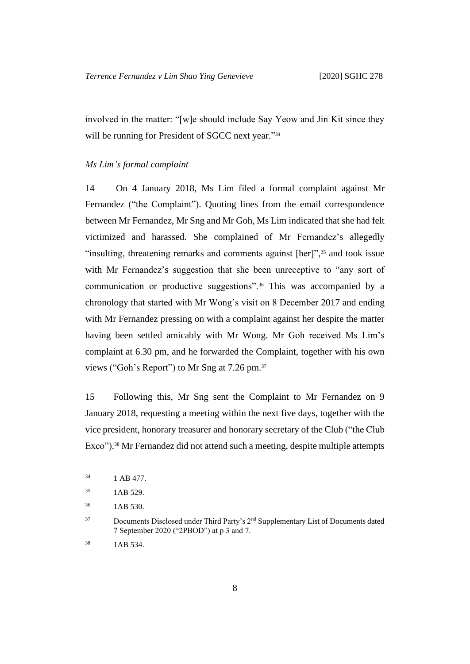involved in the matter: "[w]e should include Say Yeow and Jin Kit since they will be running for President of SGCC next year."34

#### <span id="page-9-0"></span>*Ms Lim's formal complaint*

14 On 4 January 2018, Ms Lim filed a formal complaint against Mr Fernandez ("the Complaint"). Quoting lines from the email correspondence between Mr Fernandez, Mr Sng and Mr Goh, Ms Lim indicated that she had felt victimized and harassed. She complained of Mr Fernandez's allegedly "insulting, threatening remarks and comments against [her]",<sup>35</sup> and took issue with Mr Fernandez's suggestion that she been unreceptive to "any sort of communication or productive suggestions".<sup>36</sup> This was accompanied by a chronology that started with Mr Wong's visit on 8 December 2017 and ending with Mr Fernandez pressing on with a complaint against her despite the matter having been settled amicably with Mr Wong. Mr Goh received Ms Lim's complaint at 6.30 pm, and he forwarded the Complaint, together with his own views ("Goh's Report") to Mr Sng at 7.26 pm.<sup>37</sup>

15 Following this, Mr Sng sent the Complaint to Mr Fernandez on 9 January 2018, requesting a meeting within the next five days, together with the vice president, honorary treasurer and honorary secretary of the Club ("the Club Exco"). <sup>38</sup> Mr Fernandez did not attend such a meeting, despite multiple attempts

 $^{34}$  1 AB 477.

<sup>35</sup> 1AB 529.

<sup>36</sup> 1AB 530.

<sup>&</sup>lt;sup>37</sup> Documents Disclosed under Third Party's 2<sup>nd</sup> Supplementary List of Documents dated 7 September 2020 ("2PBOD") at p 3 and 7.

<sup>38</sup> 1AB 534.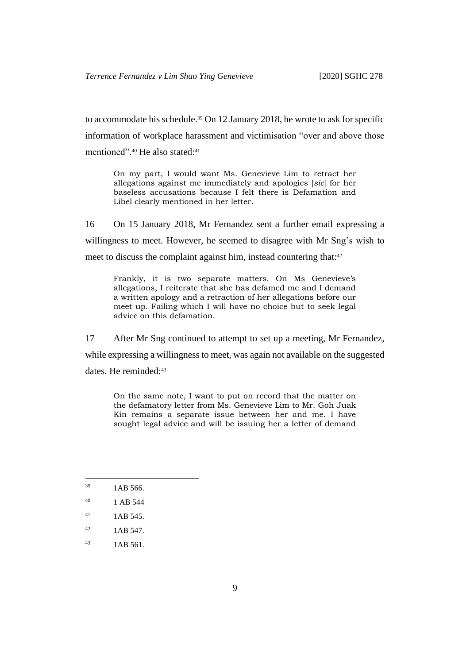to accommodate his schedule.<sup>39</sup> On 12 January 2018, he wrote to ask for specific information of workplace harassment and victimisation "over and above those mentioned".<sup>40</sup> He also stated:<sup>41</sup>

On my part, I would want Ms. Genevieve Lim to retract her allegations against me immediately and apologies [*sic*] for her baseless accusations because I felt there is Defamation and Libel clearly mentioned in her letter.

16 On 15 January 2018, Mr Fernandez sent a further email expressing a willingness to meet. However, he seemed to disagree with Mr Sng's wish to meet to discuss the complaint against him, instead countering that:<sup>42</sup>

Frankly, it is two separate matters. On Ms Genevieve's allegations, I reiterate that she has defamed me and I demand a written apology and a retraction of her allegations before our meet up. Failing which I will have no choice but to seek legal advice on this defamation.

17 After Mr Sng continued to attempt to set up a meeting, Mr Fernandez, while expressing a willingness to meet, was again not available on the suggested dates. He reminded:<sup>43</sup>

On the same note, I want to put on record that the matter on the defamatory letter from Ms. Genevieve Lim to Mr. Goh Juak Kin remains a separate issue between her and me. I have sought legal advice and will be issuing her a letter of demand

- $^{42}$  1AB 547.
- $1AB\,561.$

 $1AB\,566.$ 

<sup>40</sup> 1 AB 544

 $^{41}$  1AB 545.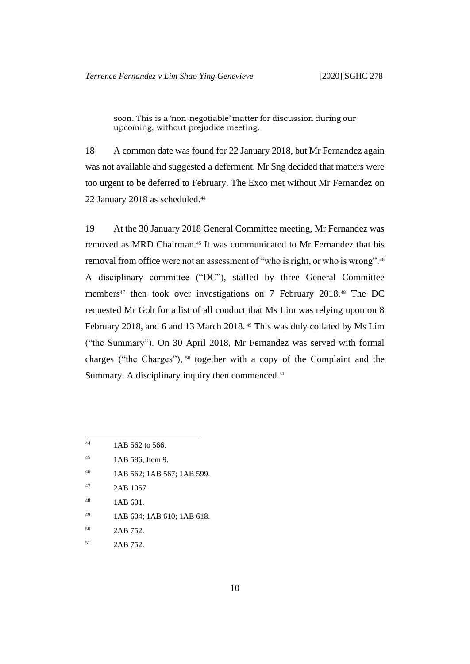soon. This is a 'non-negotiable' matter for discussion during our upcoming, without prejudice meeting.

18 A common date was found for 22 January 2018, but Mr Fernandez again was not available and suggested a deferment. Mr Sng decided that matters were too urgent to be deferred to February. The Exco met without Mr Fernandez on 22 January 2018 as scheduled. 44

19 At the 30 January 2018 General Committee meeting, Mr Fernandez was removed as MRD Chairman.<sup>45</sup> It was communicated to Mr Fernandez that his removal from office were not an assessment of "who is right, or who is wrong".<sup>46</sup> A disciplinary committee ("DC"), staffed by three General Committee members<sup>47</sup> then took over investigations on 7 February 2018.<sup>48</sup> The DC requested Mr Goh for a list of all conduct that Ms Lim was relying upon on 8 February 2018, and 6 and 13 March 2018. <sup>49</sup> This was duly collated by Ms Lim ("the Summary"). On 30 April 2018, Mr Fernandez was served with formal charges ("the Charges"), <sup>50</sup> together with a copy of the Complaint and the Summary. A disciplinary inquiry then commenced.<sup>51</sup>

- <sup>46</sup> 1AB 562; 1AB 567; 1AB 599.
- <sup>47</sup> 2AB 1057
- <sup>48</sup> 1AB 601.
- <sup>49</sup> 1AB 604; 1AB 610; 1AB 618.
- <sup>50</sup> 2AB 752.
- <sup>51</sup> 2AB 752.

<sup>&</sup>lt;sup>44</sup> 1AB 562 to 566.

<sup>45</sup> 1AB 586, Item 9.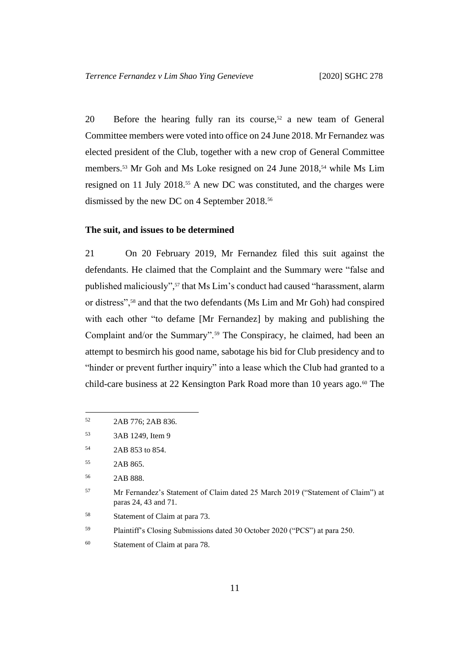20 Before the hearing fully ran its course,<sup>52</sup> a new team of General Committee members were voted into office on 24 June 2018. Mr Fernandez was elected president of the Club, together with a new crop of General Committee members.<sup>53</sup> Mr Goh and Ms Loke resigned on 24 June 2018,<sup>54</sup> while Ms Lim resigned on 11 July 2018.<sup>55</sup> A new DC was constituted, and the charges were dismissed by the new DC on 4 September 2018.<sup>56</sup>

#### <span id="page-12-0"></span>**The suit, and issues to be determined**

21 On 20 February 2019, Mr Fernandez filed this suit against the defendants. He claimed that the Complaint and the Summary were "false and published maliciously", <sup>57</sup> that Ms Lim's conduct had caused "harassment, alarm or distress",<sup>58</sup> and that the two defendants (Ms Lim and Mr Goh) had conspired with each other "to defame [Mr Fernandez] by making and publishing the Complaint and/or the Summary".<sup>59</sup> The Conspiracy, he claimed, had been an attempt to besmirch his good name, sabotage his bid for Club presidency and to "hinder or prevent further inquiry" into a lease which the Club had granted to a child-care business at 22 Kensington Park Road more than 10 years ago.<sup>60</sup> The

- <sup>58</sup> Statement of Claim at para 73.
- <sup>59</sup> Plaintiff's Closing Submissions dated 30 October 2020 ("PCS") at para 250.

<sup>52</sup> 2AB 776; 2AB 836.

<sup>53</sup> 3AB 1249, Item 9

<sup>54</sup> 2AB 853 to 854.

<sup>55</sup> 2AB 865.

<sup>56</sup> 2AB 888.

<sup>57</sup> Mr Fernandez's Statement of Claim dated 25 March 2019 ("Statement of Claim") at paras 24, 43 and 71.

<sup>60</sup> Statement of Claim at para 78.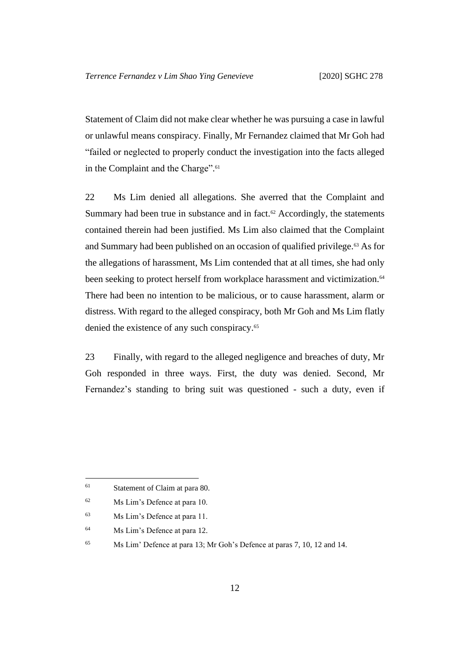Statement of Claim did not make clear whether he was pursuing a case in lawful or unlawful means conspiracy. Finally, Mr Fernandez claimed that Mr Goh had "failed or neglected to properly conduct the investigation into the facts alleged in the Complaint and the Charge".<sup>61</sup>

22 Ms Lim denied all allegations. She averred that the Complaint and Summary had been true in substance and in fact.<sup>62</sup> Accordingly, the statements contained therein had been justified. Ms Lim also claimed that the Complaint and Summary had been published on an occasion of qualified privilege.<sup>63</sup> As for the allegations of harassment, Ms Lim contended that at all times, she had only been seeking to protect herself from workplace harassment and victimization.<sup>64</sup> There had been no intention to be malicious, or to cause harassment, alarm or distress. With regard to the alleged conspiracy, both Mr Goh and Ms Lim flatly denied the existence of any such conspiracy.<sup>65</sup>

23 Finally, with regard to the alleged negligence and breaches of duty, Mr Goh responded in three ways. First, the duty was denied. Second, Mr Fernandez's standing to bring suit was questioned - such a duty, even if

<sup>64</sup> Ms Lim's Defence at para 12.

<sup>61</sup> Statement of Claim at para 80.

<sup>62</sup> Ms Lim's Defence at para 10.

<sup>63</sup> Ms Lim's Defence at para 11.

<sup>65</sup> Ms Lim' Defence at para 13; Mr Goh's Defence at paras 7, 10, 12 and 14.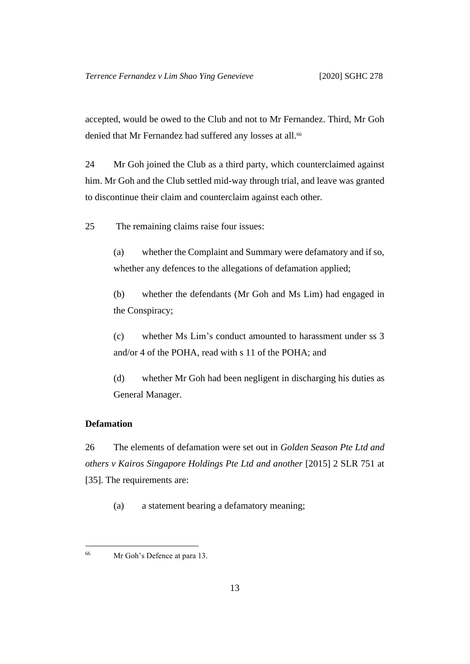accepted, would be owed to the Club and not to Mr Fernandez. Third, Mr Goh denied that Mr Fernandez had suffered any losses at all.<sup>66</sup>

24 Mr Goh joined the Club as a third party, which counterclaimed against him. Mr Goh and the Club settled mid-way through trial, and leave was granted to discontinue their claim and counterclaim against each other.

25 The remaining claims raise four issues:

(a) whether the Complaint and Summary were defamatory and if so, whether any defences to the allegations of defamation applied;

(b) whether the defendants (Mr Goh and Ms Lim) had engaged in the Conspiracy;

(c) whether Ms Lim's conduct amounted to harassment under ss 3 and/or 4 of the POHA, read with s 11 of the POHA; and

(d) whether Mr Goh had been negligent in discharging his duties as General Manager.

# <span id="page-14-0"></span>**Defamation**

26 The elements of defamation were set out in *Golden Season Pte Ltd and others v Kairos Singapore Holdings Pte Ltd and another* [2015] 2 SLR 751 at [35]. The requirements are:

(a) a statement bearing a defamatory meaning;

<sup>66</sup> Mr Goh's Defence at para 13.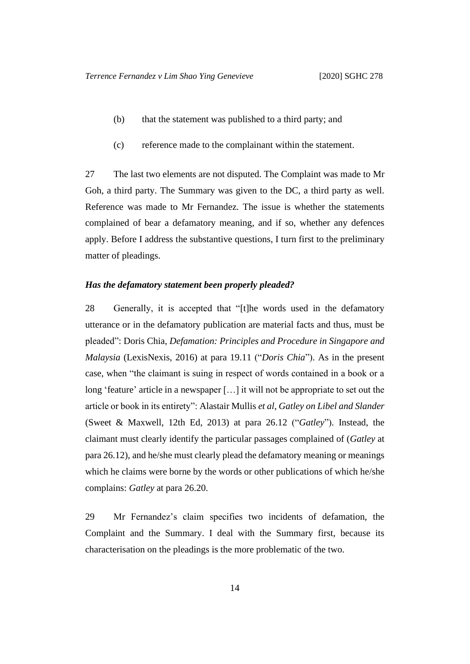- (b) that the statement was published to a third party; and
- (c) reference made to the complainant within the statement.

27 The last two elements are not disputed. The Complaint was made to Mr Goh, a third party. The Summary was given to the DC, a third party as well. Reference was made to Mr Fernandez. The issue is whether the statements complained of bear a defamatory meaning, and if so, whether any defences apply. Before I address the substantive questions, I turn first to the preliminary matter of pleadings.

#### <span id="page-15-0"></span>*Has the defamatory statement been properly pleaded?*

28 Generally, it is accepted that "[t]he words used in the defamatory utterance or in the defamatory publication are material facts and thus, must be pleaded": Doris Chia, *Defamation: Principles and Procedure in Singapore and Malaysia* (LexisNexis, 2016) at para 19.11 ("*Doris Chia*"). As in the present case, when "the claimant is suing in respect of words contained in a book or a long 'feature' article in a newspaper […] it will not be appropriate to set out the article or book in its entirety": Alastair Mullis *et al*, *Gatley on Libel and Slander*  (Sweet & Maxwell, 12th Ed, 2013) at para 26.12 ("*Gatley*"). Instead, the claimant must clearly identify the particular passages complained of (*Gatley* at para 26.12), and he/she must clearly plead the defamatory meaning or meanings which he claims were borne by the words or other publications of which he/she complains: *Gatley* at para 26.20.

29 Mr Fernandez's claim specifies two incidents of defamation, the Complaint and the Summary. I deal with the Summary first, because its characterisation on the pleadings is the more problematic of the two.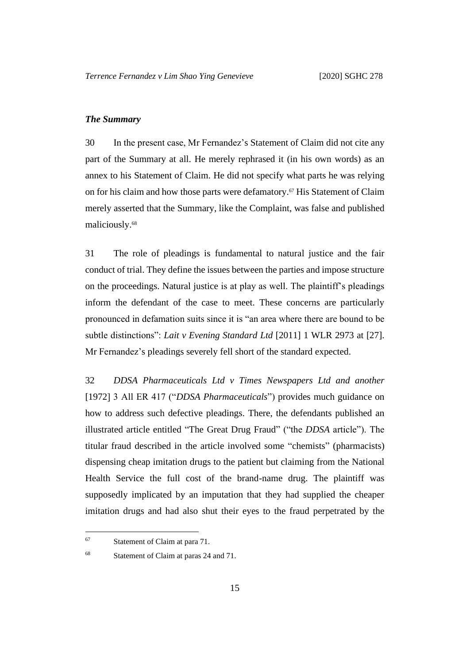#### <span id="page-16-0"></span>*The Summary*

30 In the present case, Mr Fernandez's Statement of Claim did not cite any part of the Summary at all. He merely rephrased it (in his own words) as an annex to his Statement of Claim. He did not specify what parts he was relying on for his claim and how those parts were defamatory.<sup>67</sup> His Statement of Claim merely asserted that the Summary, like the Complaint, was false and published maliciously.<sup>68</sup>

31 The role of pleadings is fundamental to natural justice and the fair conduct of trial. They define the issues between the parties and impose structure on the proceedings. Natural justice is at play as well. The plaintiff's pleadings inform the defendant of the case to meet. These concerns are particularly pronounced in defamation suits since it is "an area where there are bound to be subtle distinctions": *Lait v Evening Standard Ltd* [2011] 1 WLR 2973 at [27]. Mr Fernandez's pleadings severely fell short of the standard expected.

32 *DDSA Pharmaceuticals Ltd v Times Newspapers Ltd and another*  [1972] 3 All ER 417 ("*DDSA Pharmaceuticals*") provides much guidance on how to address such defective pleadings. There, the defendants published an illustrated article entitled "The Great Drug Fraud" ("the *DDSA* article"). The titular fraud described in the article involved some "chemists" (pharmacists) dispensing cheap imitation drugs to the patient but claiming from the National Health Service the full cost of the brand-name drug. The plaintiff was supposedly implicated by an imputation that they had supplied the cheaper imitation drugs and had also shut their eyes to the fraud perpetrated by the

<sup>67</sup> Statement of Claim at para 71.

<sup>68</sup> Statement of Claim at paras 24 and 71.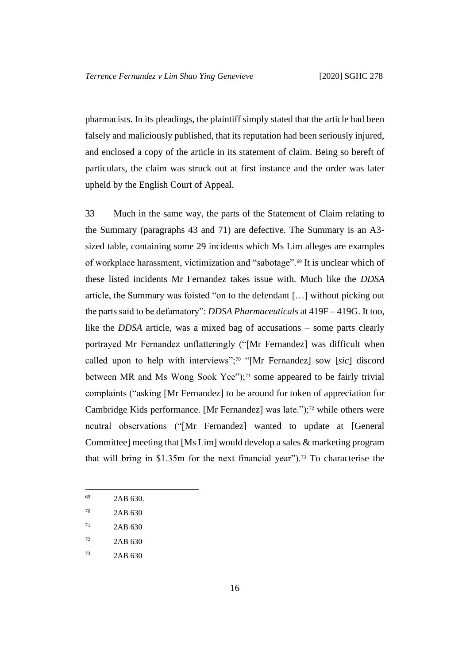pharmacists. In its pleadings, the plaintiff simply stated that the article had been falsely and maliciously published, that its reputation had been seriously injured, and enclosed a copy of the article in its statement of claim. Being so bereft of particulars, the claim was struck out at first instance and the order was later upheld by the English Court of Appeal.

33 Much in the same way, the parts of the Statement of Claim relating to the Summary (paragraphs 43 and 71) are defective. The Summary is an A3 sized table, containing some 29 incidents which Ms Lim alleges are examples of workplace harassment, victimization and "sabotage".<sup>69</sup> It is unclear which of these listed incidents Mr Fernandez takes issue with. Much like the *DDSA* article, the Summary was foisted "on to the defendant […] without picking out the parts said to be defamatory": *DDSA Pharmaceuticals* at 419F – 419G. It too, like the *DDSA* article, was a mixed bag of accusations – some parts clearly portrayed Mr Fernandez unflatteringly ("[Mr Fernandez] was difficult when called upon to help with interviews";<sup>70</sup> "[Mr Fernandez] sow [*sic*] discord between MR and Ms Wong Sook Yee");<sup>71</sup> some appeared to be fairly trivial complaints ("asking [Mr Fernandez] to be around for token of appreciation for Cambridge Kids performance. [Mr Fernandez] was late.");<sup>72</sup> while others were neutral observations ("[Mr Fernandez] wanted to update at [General Committee] meeting that [Ms Lim] would develop a sales  $\&$  marketing program that will bring in \$1.35m for the next financial year").<sup>73</sup> To characterise the

<sup>69</sup> 2AB 630.

<sup>70</sup> 2AB 630

 $71$  2AB 630

 $72$  2AB 630

<sup>73</sup> 2AB 630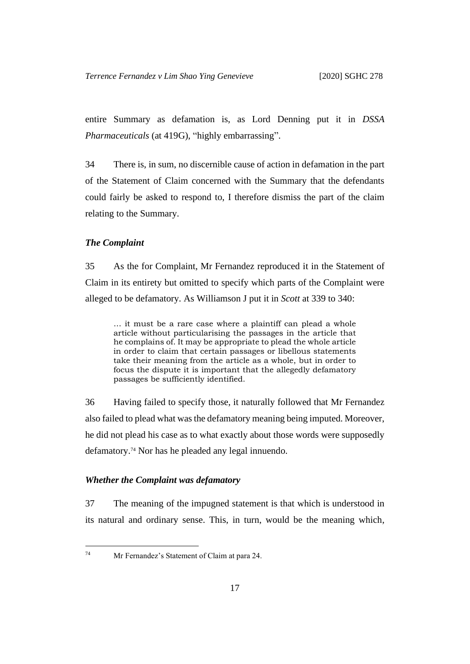entire Summary as defamation is, as Lord Denning put it in *DSSA Pharmaceuticals* (at 419G), "highly embarrassing".

34 There is, in sum, no discernible cause of action in defamation in the part of the Statement of Claim concerned with the Summary that the defendants could fairly be asked to respond to, I therefore dismiss the part of the claim relating to the Summary.

#### <span id="page-18-0"></span>*The Complaint*

35 As the for Complaint, Mr Fernandez reproduced it in the Statement of Claim in its entirety but omitted to specify which parts of the Complaint were alleged to be defamatory. As Williamson J put it in *Scott* at 339 to 340:

… it must be a rare case where a plaintiff can plead a whole article without particularising the passages in the article that he complains of. It may be appropriate to plead the whole article in order to claim that certain passages or libellous statements take their meaning from the article as a whole, but in order to focus the dispute it is important that the allegedly defamatory passages be sufficiently identified.

36 Having failed to specify those, it naturally followed that Mr Fernandez also failed to plead what was the defamatory meaning being imputed. Moreover, he did not plead his case as to what exactly about those words were supposedly defamatory.<sup>74</sup> Nor has he pleaded any legal innuendo.

#### <span id="page-18-1"></span>*Whether the Complaint was defamatory*

37 The meaning of the impugned statement is that which is understood in its natural and ordinary sense. This, in turn, would be the meaning which,

<sup>74</sup> Mr Fernandez's Statement of Claim at para 24.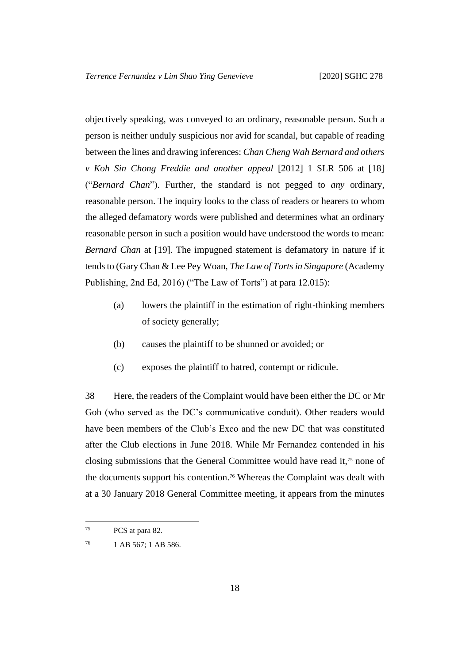objectively speaking, was conveyed to an ordinary, reasonable person. Such a person is neither unduly suspicious nor avid for scandal, but capable of reading between the lines and drawing inferences: *Chan Cheng Wah Bernard and others v Koh Sin Chong Freddie and another appeal* [2012] 1 SLR 506 at [18] ("*Bernard Chan*"). Further, the standard is not pegged to *any* ordinary, reasonable person. The inquiry looks to the class of readers or hearers to whom the alleged defamatory words were published and determines what an ordinary reasonable person in such a position would have understood the words to mean: *Bernard Chan* at [19]. The impugned statement is defamatory in nature if it tends to (Gary Chan & Lee Pey Woan, *The Law of Torts in Singapore* (Academy Publishing, 2nd Ed, 2016) ("The Law of Torts") at para 12.015):

- (a) lowers the plaintiff in the estimation of right-thinking members of society generally;
- (b) causes the plaintiff to be shunned or avoided; or
- (c) exposes the plaintiff to hatred, contempt or ridicule.

38 Here, the readers of the Complaint would have been either the DC or Mr Goh (who served as the DC's communicative conduit). Other readers would have been members of the Club's Exco and the new DC that was constituted after the Club elections in June 2018. While Mr Fernandez contended in his closing submissions that the General Committee would have read it,<sup>75</sup> none of the documents support his contention.<sup>76</sup> Whereas the Complaint was dealt with at a 30 January 2018 General Committee meeting, it appears from the minutes

<sup>75</sup> PCS at para 82.

<sup>76</sup> 1 AB 567; 1 AB 586.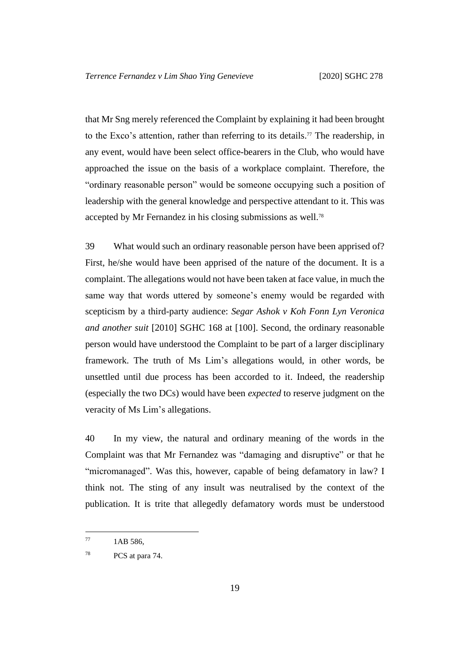that Mr Sng merely referenced the Complaint by explaining it had been brought to the Exco's attention, rather than referring to its details. <sup>77</sup> The readership, in any event, would have been select office-bearers in the Club, who would have approached the issue on the basis of a workplace complaint. Therefore, the "ordinary reasonable person" would be someone occupying such a position of leadership with the general knowledge and perspective attendant to it. This was accepted by Mr Fernandez in his closing submissions as well.<sup>78</sup>

39 What would such an ordinary reasonable person have been apprised of? First, he/she would have been apprised of the nature of the document. It is a complaint. The allegations would not have been taken at face value, in much the same way that words uttered by someone's enemy would be regarded with scepticism by a third-party audience: *Segar Ashok v Koh Fonn Lyn Veronica and another suit* [2010] SGHC 168 at [100]. Second, the ordinary reasonable person would have understood the Complaint to be part of a larger disciplinary framework. The truth of Ms Lim's allegations would, in other words, be unsettled until due process has been accorded to it. Indeed, the readership (especially the two DCs) would have been *expected* to reserve judgment on the veracity of Ms Lim's allegations.

<span id="page-20-0"></span>40 In my view, the natural and ordinary meaning of the words in the Complaint was that Mr Fernandez was "damaging and disruptive" or that he "micromanaged". Was this, however, capable of being defamatory in law? I think not. The sting of any insult was neutralised by the context of the publication. It is trite that allegedly defamatory words must be understood

 $^{77}$  1AB 586.

<sup>78</sup> PCS at para 74.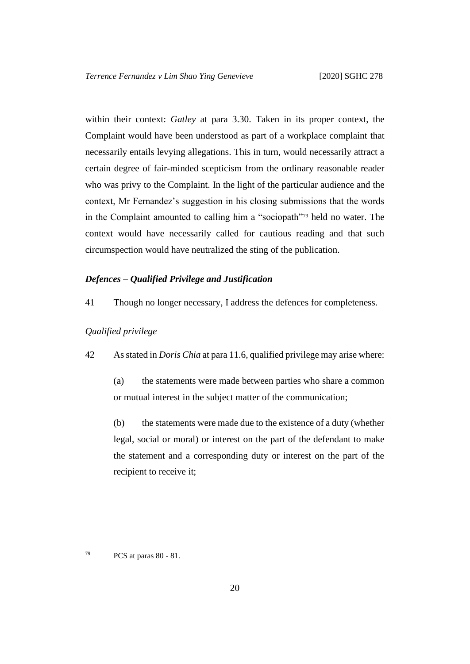within their context: *Gatley* at para 3.30. Taken in its proper context, the Complaint would have been understood as part of a workplace complaint that necessarily entails levying allegations. This in turn, would necessarily attract a certain degree of fair-minded scepticism from the ordinary reasonable reader who was privy to the Complaint. In the light of the particular audience and the context, Mr Fernandez's suggestion in his closing submissions that the words in the Complaint amounted to calling him a "sociopath"<sup>79</sup> held no water. The context would have necessarily called for cautious reading and that such circumspection would have neutralized the sting of the publication.

## <span id="page-21-0"></span>*Defences – Qualified Privilege and Justification*

41 Though no longer necessary, I address the defences for completeness.

#### <span id="page-21-2"></span><span id="page-21-1"></span>*Qualified privilege*

42 As stated in *Doris Chia* at para 11.6, qualified privilege may arise where:

(a) the statements were made between parties who share a common or mutual interest in the subject matter of the communication;

(b) the statements were made due to the existence of a duty (whether legal, social or moral) or interest on the part of the defendant to make the statement and a corresponding duty or interest on the part of the recipient to receive it;

<sup>79</sup> PCS at paras 80 - 81.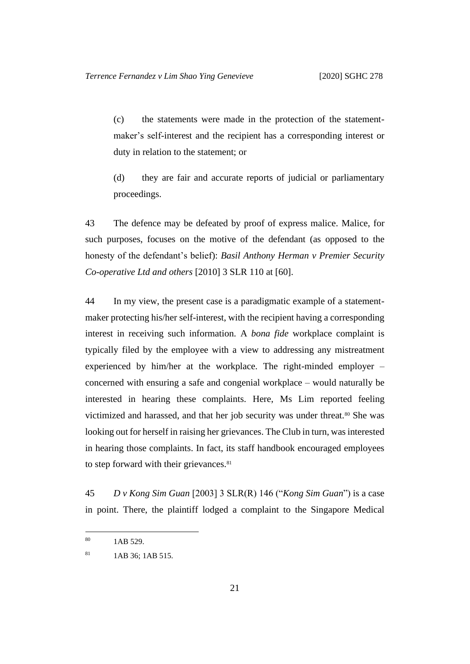(c) the statements were made in the protection of the statementmaker's self-interest and the recipient has a corresponding interest or duty in relation to the statement; or

(d) they are fair and accurate reports of judicial or parliamentary proceedings.

43 The defence may be defeated by proof of express malice. Malice, for such purposes, focuses on the motive of the defendant (as opposed to the honesty of the defendant's belief): *Basil Anthony Herman v Premier Security Co-operative Ltd and others* [2010] 3 SLR 110 at [60].

44 In my view, the present case is a paradigmatic example of a statementmaker protecting his/her self-interest, with the recipient having a corresponding interest in receiving such information. A *bona fide* workplace complaint is typically filed by the employee with a view to addressing any mistreatment experienced by him/her at the workplace. The right-minded employer – concerned with ensuring a safe and congenial workplace – would naturally be interested in hearing these complaints. Here, Ms Lim reported feeling victimized and harassed, and that her job security was under threat.<sup>80</sup> She was looking out for herself in raising her grievances. The Club in turn, was interested in hearing those complaints. In fact, its staff handbook encouraged employees to step forward with their grievances.<sup>81</sup>

45 *D v Kong Sim Guan* [2003] 3 SLR(R) 146 ("*Kong Sim Guan*") is a case in point. There, the plaintiff lodged a complaint to the Singapore Medical

<sup>80</sup> 1AB 529.

<sup>81</sup> 1AB 36; 1AB 515.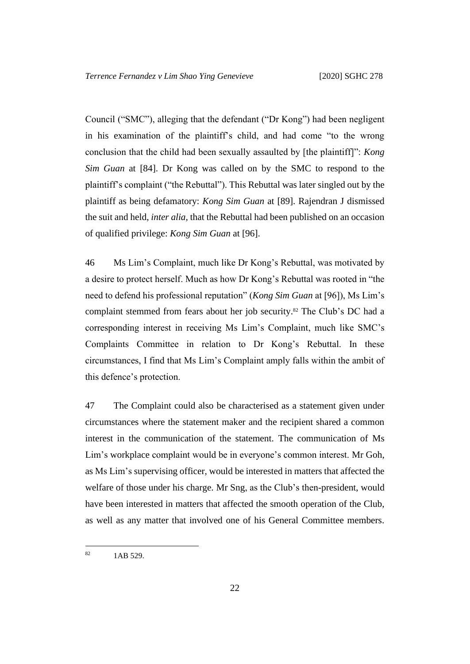Council ("SMC"), alleging that the defendant ("Dr Kong") had been negligent in his examination of the plaintiff's child, and had come "to the wrong conclusion that the child had been sexually assaulted by [the plaintiff]": *Kong Sim Guan* at [84]. Dr Kong was called on by the SMC to respond to the plaintiff's complaint ("the Rebuttal"). This Rebuttal was later singled out by the plaintiff as being defamatory: *Kong Sim Guan* at [89]. Rajendran J dismissed the suit and held, *inter alia,* that the Rebuttal had been published on an occasion of qualified privilege: *Kong Sim Guan* at [96].

46 Ms Lim's Complaint, much like Dr Kong's Rebuttal, was motivated by a desire to protect herself. Much as how Dr Kong's Rebuttal was rooted in "the need to defend his professional reputation" (*Kong Sim Guan* at [96]), Ms Lim's complaint stemmed from fears about her job security.<sup>82</sup> The Club's DC had a corresponding interest in receiving Ms Lim's Complaint, much like SMC's Complaints Committee in relation to Dr Kong's Rebuttal. In these circumstances, I find that Ms Lim's Complaint amply falls within the ambit of this defence's protection.

47 The Complaint could also be characterised as a statement given under circumstances where the statement maker and the recipient shared a common interest in the communication of the statement. The communication of Ms Lim's workplace complaint would be in everyone's common interest. Mr Goh, as Ms Lim's supervising officer, would be interested in matters that affected the welfare of those under his charge. Mr Sng, as the Club's then-president, would have been interested in matters that affected the smooth operation of the Club, as well as any matter that involved one of his General Committee members.

<sup>82</sup> 1AB 529.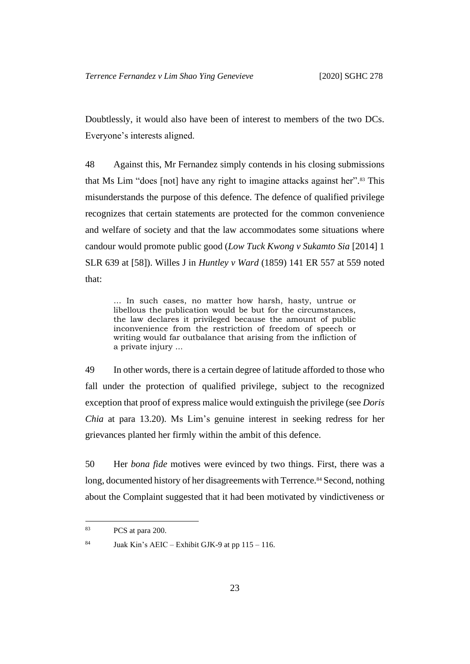Doubtlessly, it would also have been of interest to members of the two DCs. Everyone's interests aligned.

48 Against this, Mr Fernandez simply contends in his closing submissions that Ms Lim "does [not] have any right to imagine attacks against her". <sup>83</sup> This misunderstands the purpose of this defence. The defence of qualified privilege recognizes that certain statements are protected for the common convenience and welfare of society and that the law accommodates some situations where candour would promote public good (*Low Tuck Kwong v Sukamto Sia* [2014] 1 SLR 639 at [58]). Willes J in *Huntley v Ward* (1859) 141 ER 557 at 559 noted that:

… In such cases, no matter how harsh, hasty, untrue or libellous the publication would be but for the circumstances, the law declares it privileged because the amount of public inconvenience from the restriction of freedom of speech or writing would far outbalance that arising from the infliction of a private injury ...

49 In other words, there is a certain degree of latitude afforded to those who fall under the protection of qualified privilege, subject to the recognized exception that proof of express malice would extinguish the privilege (see *Doris Chia* at para 13.20). Ms Lim's genuine interest in seeking redress for her grievances planted her firmly within the ambit of this defence.

<span id="page-24-0"></span>50 Her *bona fide* motives were evinced by two things. First, there was a long, documented history of her disagreements with Terrence.<sup>84</sup> Second, nothing about the Complaint suggested that it had been motivated by vindictiveness or

<sup>83</sup> PCS at para 200.

<sup>&</sup>lt;sup>84</sup> Juak Kin's AEIC – Exhibit GJK-9 at pp  $115 - 116$ .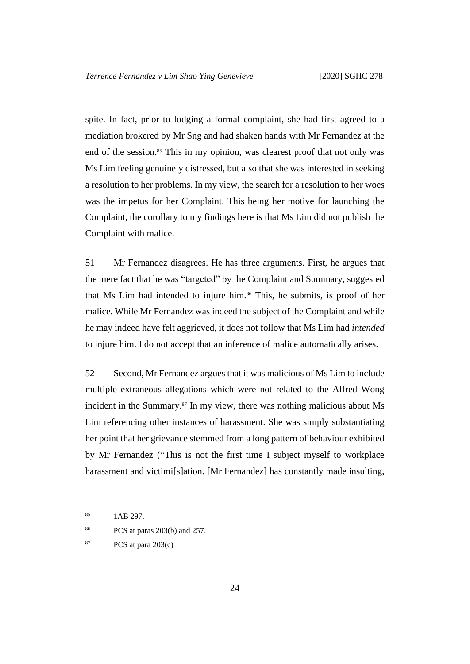spite. In fact, prior to lodging a formal complaint, she had first agreed to a mediation brokered by Mr Sng and had shaken hands with Mr Fernandez at the end of the session.<sup>85</sup> This in my opinion, was clearest proof that not only was Ms Lim feeling genuinely distressed, but also that she was interested in seeking a resolution to her problems. In my view, the search for a resolution to her woes was the impetus for her Complaint. This being her motive for launching the Complaint, the corollary to my findings here is that Ms Lim did not publish the Complaint with malice.

51 Mr Fernandez disagrees. He has three arguments. First, he argues that the mere fact that he was "targeted" by the Complaint and Summary, suggested that Ms Lim had intended to injure him.<sup>86</sup> This, he submits, is proof of her malice. While Mr Fernandez was indeed the subject of the Complaint and while he may indeed have felt aggrieved, it does not follow that Ms Lim had *intended* to injure him. I do not accept that an inference of malice automatically arises.

52 Second, Mr Fernandez argues that it was malicious of Ms Lim to include multiple extraneous allegations which were not related to the Alfred Wong incident in the Summary. <sup>87</sup> In my view, there was nothing malicious about Ms Lim referencing other instances of harassment. She was simply substantiating her point that her grievance stemmed from a long pattern of behaviour exhibited by Mr Fernandez ("This is not the first time I subject myself to workplace harassment and victimi[s]ation. [Mr Fernandez] has constantly made insulting,

<sup>85</sup> 1AB 297.

<sup>86</sup> PCS at paras 203(b) and 257.

<sup>87</sup> PCS at para 203(c)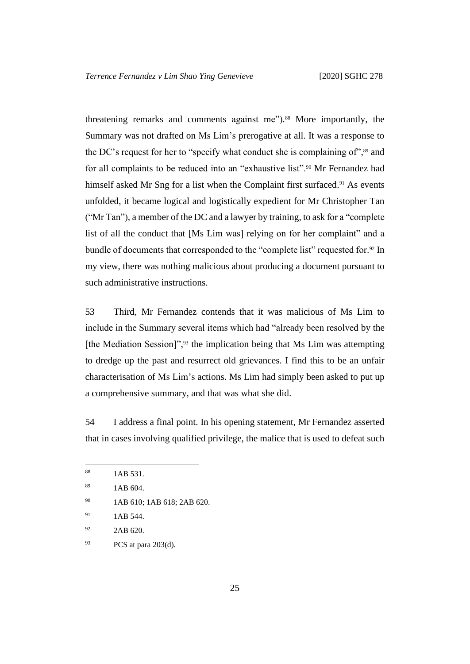threatening remarks and comments against me"). <sup>88</sup> More importantly, the Summary was not drafted on Ms Lim's prerogative at all. It was a response to the DC's request for her to "specify what conduct she is complaining of",<sup>89</sup> and for all complaints to be reduced into an "exhaustive list".<sup>90</sup> Mr Fernandez had himself asked Mr Sng for a list when the Complaint first surfaced.<sup>91</sup> As events unfolded, it became logical and logistically expedient for Mr Christopher Tan ("Mr Tan"), a member of the DC and a lawyer by training, to ask for a "complete list of all the conduct that [Ms Lim was] relying on for her complaint" and a bundle of documents that corresponded to the "complete list" requested for.<sup>92</sup> In my view, there was nothing malicious about producing a document pursuant to such administrative instructions.

53 Third, Mr Fernandez contends that it was malicious of Ms Lim to include in the Summary several items which had "already been resolved by the [the Mediation Session]",<sup>93</sup> the implication being that Ms Lim was attempting to dredge up the past and resurrect old grievances. I find this to be an unfair characterisation of Ms Lim's actions. Ms Lim had simply been asked to put up a comprehensive summary, and that was what she did.

54 I address a final point. In his opening statement, Mr Fernandez asserted that in cases involving qualified privilege, the malice that is used to defeat such

<sup>88</sup> 1AB 531.

 $1AB\ 604.$ 

<sup>90</sup> 1AB 610; 1AB 618; 2AB 620.

 $^{91}$  1AB 544.

<sup>&</sup>lt;sup>92</sup> 2AB 620.

<sup>93</sup> PCS at para 203(d).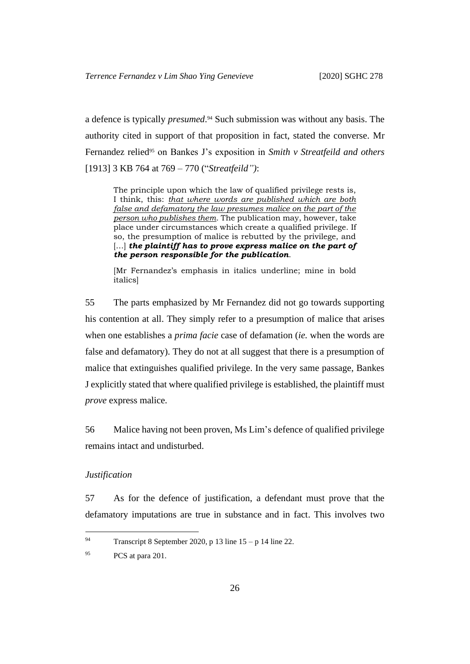a defence is typically *presumed*. <sup>94</sup> Such submission was without any basis. The authority cited in support of that proposition in fact, stated the converse. Mr Fernandez relied<sup>95</sup> on Bankes J's exposition in *Smith v Streatfeild and others* [1913] 3 KB 764 at 769 – 770 ("*Streatfeild")*:

The principle upon which the law of qualified privilege rests is, I think, this: *that where words are published which are both false and defamatory the law presumes malice on the part of the person who publishes them*. The publication may, however, take place under circumstances which create a qualified privilege. If so, the presumption of malice is rebutted by the privilege, and [...] *the plaintiff has to prove express malice on the part of the person responsible for the publication*.

[Mr Fernandez's emphasis in italics underline; mine in bold italics]

55 The parts emphasized by Mr Fernandez did not go towards supporting his contention at all. They simply refer to a presumption of malice that arises when one establishes a *prima facie* case of defamation (*ie.* when the words are false and defamatory). They do not at all suggest that there is a presumption of malice that extinguishes qualified privilege. In the very same passage, Bankes J explicitly stated that where qualified privilege is established, the plaintiff must *prove* express malice.

<span id="page-27-1"></span>56 Malice having not been proven, Ms Lim's defence of qualified privilege remains intact and undisturbed.

#### <span id="page-27-0"></span>*Justification*

57 As for the defence of justification, a defendant must prove that the defamatory imputations are true in substance and in fact. This involves two

<sup>94</sup> Transcript 8 September 2020, p 13 line  $15 - p 14$  line 22.

<sup>&</sup>lt;sup>95</sup> PCS at para 201.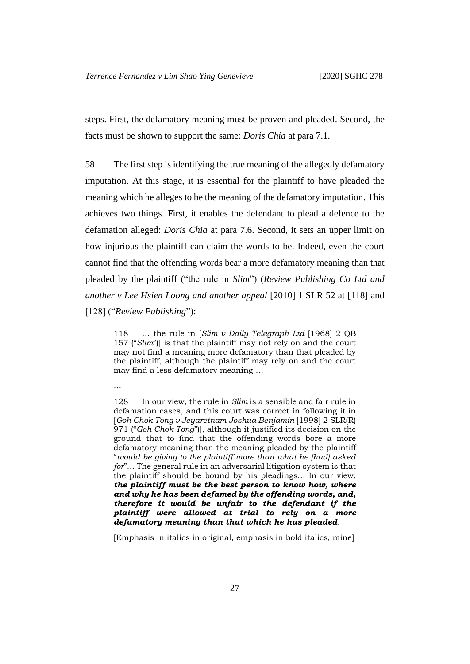steps. First, the defamatory meaning must be proven and pleaded. Second, the facts must be shown to support the same: *Doris Chia* at para 7.1.

58 The first step is identifying the true meaning of the allegedly defamatory imputation. At this stage, it is essential for the plaintiff to have pleaded the meaning which he alleges to be the meaning of the defamatory imputation. This achieves two things. First, it enables the defendant to plead a defence to the defamation alleged: *Doris Chia* at para 7.6. Second, it sets an upper limit on how injurious the plaintiff can claim the words to be. Indeed, even the court cannot find that the offending words bear a more defamatory meaning than that pleaded by the plaintiff ("the rule in *Slim*") (*Review Publishing Co Ltd and another v Lee Hsien Loong and another appeal* [2010] 1 SLR 52 at [118] and [128] ("*Review Publishing*"):

118 … the rule in [*Slim v Daily Telegraph Ltd* [1968] 2 QB 157 ("*Slim*")] is that the plaintiff may not rely on and the court may not find a meaning more defamatory than that pleaded by the plaintiff, although the plaintiff may rely on and the court may find a less defamatory meaning …

…

128 In our view, the rule in *Slim* is a sensible and fair rule in defamation cases, and this court was correct in following it in [*Goh Chok Tong v Jeyaretnam Joshua Benjamin* [1998] 2 SLR(R) 971 ("*Goh Chok Tong*")], although it justified its decision on the ground that to find that the offending words bore a more defamatory meaning than the meaning pleaded by the plaintiff "*would be giving to the plaintiff more than what he [had] asked for*"… The general rule in an adversarial litigation system is that the plaintiff should be bound by his pleadings… In our view, *the plaintiff must be the best person to know how, where and why he has been defamed by the offending words, and, therefore it would be unfair to the defendant if the plaintiff were allowed at trial to rely on a more defamatory meaning than that which he has pleaded*.

[Emphasis in italics in original, emphasis in bold italics, mine]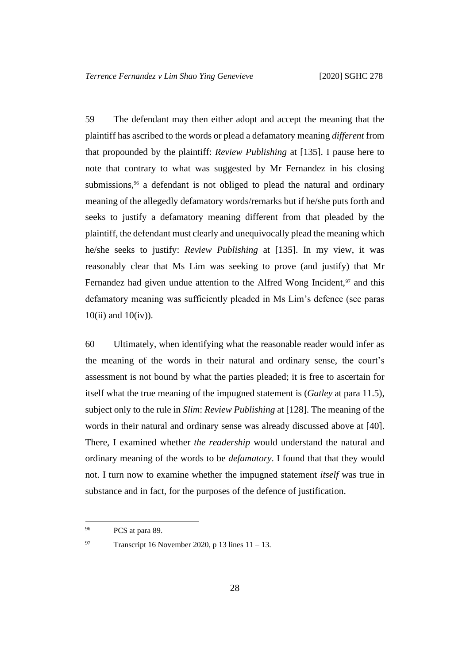59 The defendant may then either adopt and accept the meaning that the plaintiff has ascribed to the words or plead a defamatory meaning *different* from that propounded by the plaintiff: *Review Publishing* at [135]. I pause here to note that contrary to what was suggested by Mr Fernandez in his closing submissions,<sup>96</sup> a defendant is not obliged to plead the natural and ordinary meaning of the allegedly defamatory words/remarks but if he/she puts forth and seeks to justify a defamatory meaning different from that pleaded by the plaintiff, the defendant must clearly and unequivocally plead the meaning which he/she seeks to justify: *Review Publishing* at [135]. In my view, it was reasonably clear that Ms Lim was seeking to prove (and justify) that Mr Fernandez had given undue attention to the Alfred Wong Incident, $97$  and this defamatory meaning was sufficiently pleaded in Ms Lim's defence (see paras  $10(i)$  and  $10(iv)$ ).

60 Ultimately, when identifying what the reasonable reader would infer as the meaning of the words in their natural and ordinary sense, the court's assessment is not bound by what the parties pleaded; it is free to ascertain for itself what the true meaning of the impugned statement is (*Gatley* at para 11.5), subject only to the rule in *Slim*: *Review Publishing* at [128]. The meaning of the words in their natural and ordinary sense was already discussed above at [\[40\]](#page-20-0). There, I examined whether *the readership* would understand the natural and ordinary meaning of the words to be *defamatory*. I found that that they would not. I turn now to examine whether the impugned statement *itself* was true in substance and in fact, for the purposes of the defence of justification.

<sup>&</sup>lt;sup>96</sup> PCS at para 89.

<sup>97</sup> Transcript 16 November 2020, p 13 lines  $11 - 13$ .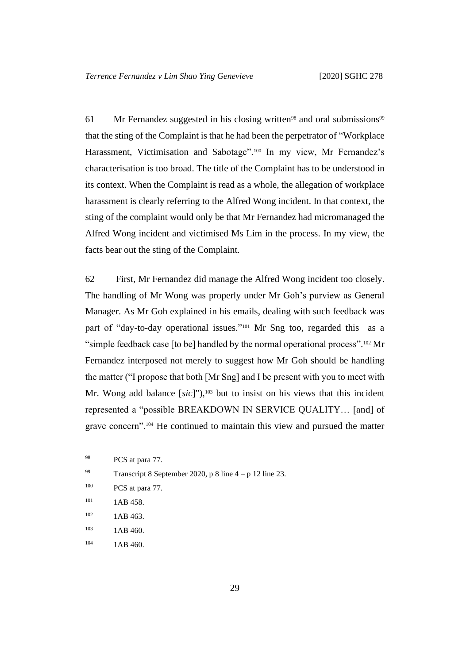61 Mr Fernandez suggested in his closing written<sup>98</sup> and oral submissions<sup>99</sup> that the sting of the Complaint is that he had been the perpetrator of "Workplace Harassment, Victimisation and Sabotage".<sup>100</sup> In my view, Mr Fernandez's characterisation is too broad. The title of the Complaint has to be understood in its context. When the Complaint is read as a whole, the allegation of workplace harassment is clearly referring to the Alfred Wong incident. In that context, the sting of the complaint would only be that Mr Fernandez had micromanaged the Alfred Wong incident and victimised Ms Lim in the process. In my view, the facts bear out the sting of the Complaint.

62 First, Mr Fernandez did manage the Alfred Wong incident too closely. The handling of Mr Wong was properly under Mr Goh's purview as General Manager. As Mr Goh explained in his emails, dealing with such feedback was part of "day-to-day operational issues."<sup>101</sup> Mr Sng too, regarded this as a "simple feedback case [to be] handled by the normal operational process".<sup>102</sup> Mr Fernandez interposed not merely to suggest how Mr Goh should be handling the matter ("I propose that both [Mr Sng] and I be present with you to meet with Mr. Wong add balance [sic]"),<sup>103</sup> but to insist on his views that this incident represented a "possible BREAKDOWN IN SERVICE QUALITY… [and] of grave concern".<sup>104</sup> He continued to maintain this view and pursued the matter

- <sup>103</sup> 1AB 460.
- $104$  1AB 460.

<sup>&</sup>lt;sup>98</sup> PCS at para 77.

<sup>99</sup> Transcript 8 September 2020, p 8 line  $4 - p 12$  line 23.

 $100$  PCS at para 77.

<sup>&</sup>lt;sup>101</sup> 1AB 458.

 $102$  1AB 463.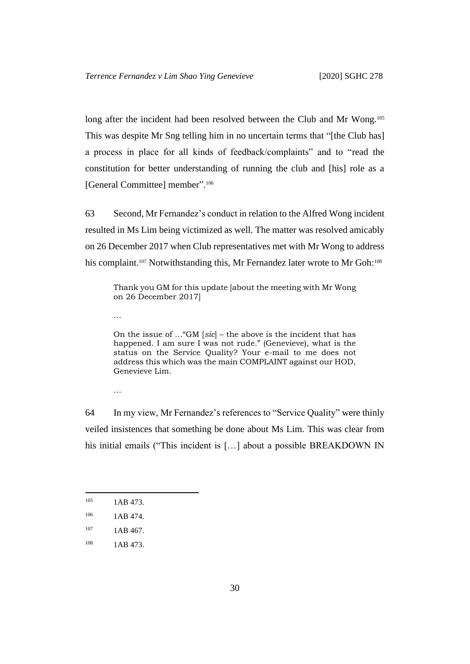long after the incident had been resolved between the Club and Mr Wong.<sup>105</sup> This was despite Mr Sng telling him in no uncertain terms that "[the Club has] a process in place for all kinds of feedback/complaints" and to "read the constitution for better understanding of running the club and [his] role as a [General Committee] member".<sup>106</sup>

63 Second, Mr Fernandez's conduct in relation to the Alfred Wong incident resulted in Ms Lim being victimized as well. The matter was resolved amicably on 26 December 2017 when Club representatives met with Mr Wong to address his complaint.<sup>107</sup> Notwithstanding this, Mr Fernandez later wrote to Mr Goh:<sup>108</sup>

Thank you GM for this update [about the meeting with Mr Wong on 26 December 2017]

…

On the issue of …"GM [*sic*] – the above is the incident that has happened. I am sure I was not rude." (Genevieve), what is the status on the Service Quality? Your e-mail to me does not address this which was the main COMPLAINT against our HOD, Genevieve Lim.

…

64 In my view, Mr Fernandez's references to "Service Quality" were thinly veiled insistences that something be done about Ms Lim. This was clear from his initial emails ("This incident is [...] about a possible BREAKDOWN IN

<sup>&</sup>lt;sup>105</sup> 1AB 473.

 $106$  1AB 474.

 $107$  1AB 467.

 $108$  1AB 473.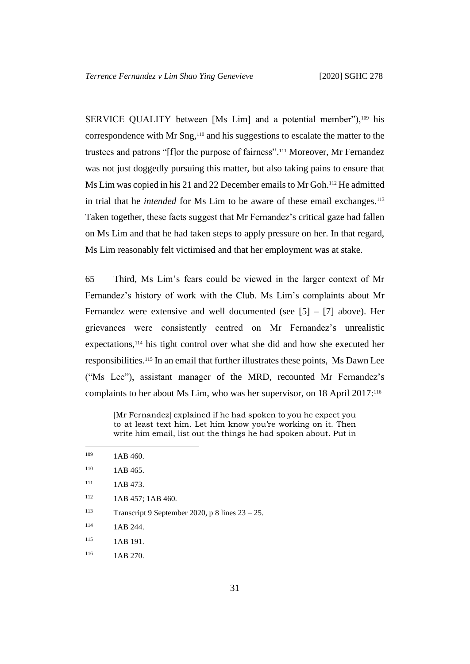SERVICE QUALITY between [Ms Lim] and a potential member"),<sup>109</sup> his correspondence with Mr Sng, <sup>110</sup> and his suggestions to escalate the matter to the trustees and patrons "[f]or the purpose of fairness". <sup>111</sup> Moreover, Mr Fernandez was not just doggedly pursuing this matter, but also taking pains to ensure that Ms Lim was copied in his 21 and 22 December emails to Mr Goh. <sup>112</sup> He admitted in trial that he *intended* for Ms Lim to be aware of these email exchanges.<sup>113</sup> Taken together, these facts suggest that Mr Fernandez's critical gaze had fallen on Ms Lim and that he had taken steps to apply pressure on her. In that regard, Ms Lim reasonably felt victimised and that her employment was at stake.

65 Third, Ms Lim's fears could be viewed in the larger context of Mr Fernandez's history of work with the Club. Ms Lim's complaints about Mr Fernandez were extensive and well documented (see  $[5] - [7]$  above). Her grievances were consistently centred on Mr Fernandez's unrealistic expectations,<sup>114</sup> his tight control over what she did and how she executed her responsibilities.<sup>115</sup> In an email that further illustrates these points, Ms Dawn Lee ("Ms Lee"), assistant manager of the MRD, recounted Mr Fernandez's complaints to her about Ms Lim, who was her supervisor, on 18 April 2017:<sup>116</sup>

[Mr Fernandez] explained if he had spoken to you he expect you to at least text him. Let him know you're working on it. Then write him email, list out the things he had spoken about. Put in

| 109 | 1AB 460.          |
|-----|-------------------|
| 110 | 1AB 465.          |
| 111 | 1AB 473.          |
| 112 | 1AB 457; 1AB 460. |
|     |                   |

113 Transcript 9 September 2020, p 8 lines  $23 - 25$ .

 $114$  1AB 244.

<sup>115</sup> 1AB 191.

<sup>116</sup> 1AB 270.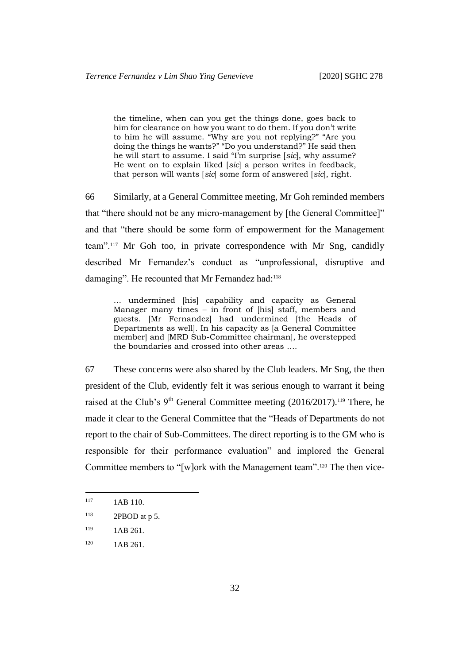the timeline, when can you get the things done, goes back to him for clearance on how you want to do them. If you don't write to him he will assume. "Why are you not replying?" "Are you doing the things he wants?" "Do you understand?" He said then he will start to assume. I said "I'm surprise [*sic*], why assume? He went on to explain liked [*sic*] a person writes in feedback, that person will wants [*sic*] some form of answered [*sic*], right.

66 Similarly, at a General Committee meeting, Mr Goh reminded members that "there should not be any micro-management by [the General Committee]" and that "there should be some form of empowerment for the Management team".<sup>117</sup> Mr Goh too, in private correspondence with Mr Sng, candidly described Mr Fernandez's conduct as "unprofessional, disruptive and damaging". He recounted that Mr Fernandez had:<sup>118</sup>

… undermined [his] capability and capacity as General Manager many times – in front of [his] staff, members and guests. [Mr Fernandez] had undermined [the Heads of Departments as well]. In his capacity as [a General Committee member] and [MRD Sub-Committee chairman], he overstepped the boundaries and crossed into other areas ….

67 These concerns were also shared by the Club leaders. Mr Sng, the then president of the Club, evidently felt it was serious enough to warrant it being raised at the Club's  $9<sup>th</sup>$  General Committee meeting (2016/2017).<sup>119</sup> There, he made it clear to the General Committee that the "Heads of Departments do not report to the chair of Sub-Committees. The direct reporting is to the GM who is responsible for their performance evaluation" and implored the General Committee members to "[w]ork with the Management team".<sup>120</sup> The then vice-

<sup>&</sup>lt;sup>117</sup> 1AB 110.

 $118$  2PBOD at p 5.

<sup>&</sup>lt;sup>119</sup> 1AB 261.

 $120$  1AB 261.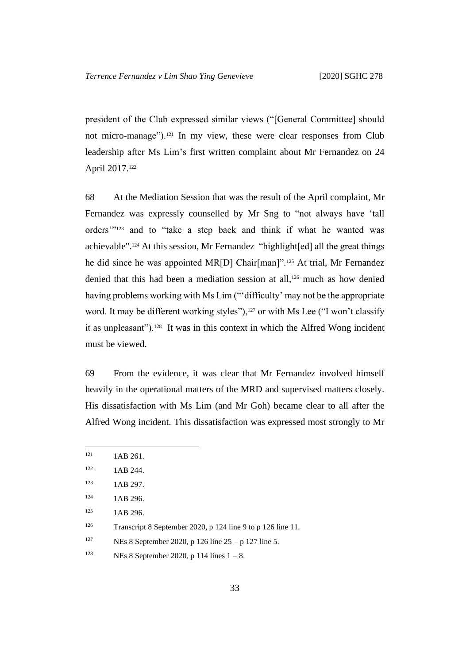president of the Club expressed similar views ("[General Committee] should not micro-manage").<sup>121</sup> In my view, these were clear responses from Club leadership after Ms Lim's first written complaint about Mr Fernandez on 24 April 2017.<sup>122</sup>

68 At the Mediation Session that was the result of the April complaint, Mr Fernandez was expressly counselled by Mr Sng to "not always have 'tall orders'"<sup>123</sup> and to "take a step back and think if what he wanted was achievable".<sup>124</sup> At this session, Mr Fernandez "highlight[ed] all the great things he did since he was appointed MR[D] Chair[man]".<sup>125</sup> At trial, Mr Fernandez denied that this had been a mediation session at all,<sup>126</sup> much as how denied having problems working with Ms Lim ("'difficulty' may not be the appropriate word. It may be different working styles"),<sup>127</sup> or with Ms Lee ("I won't classify it as unpleasant").<sup>128</sup> It was in this context in which the Alfred Wong incident must be viewed.

69 From the evidence, it was clear that Mr Fernandez involved himself heavily in the operational matters of the MRD and supervised matters closely. His dissatisfaction with Ms Lim (and Mr Goh) became clear to all after the Alfred Wong incident. This dissatisfaction was expressed most strongly to Mr

<sup>127</sup> NEs 8 September 2020, p 126 line  $25 - p$  127 line 5.

 $121$  1AB 261.

 $122$  1AB 244.

<sup>123 1</sup>AB 297.

<sup>&</sup>lt;sup>124</sup> 1AB 296.

<sup>125 1</sup>AB 296.

<sup>126</sup> Transcript 8 September 2020, p 124 line 9 to p 126 line 11.

<sup>&</sup>lt;sup>128</sup> NEs 8 September 2020, p 114 lines  $1 - 8$ .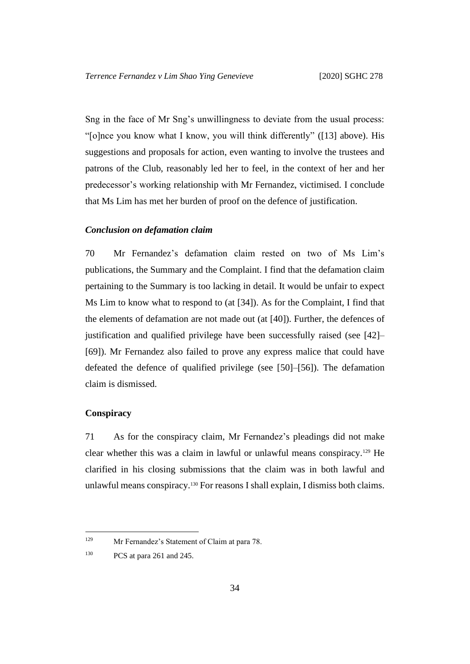Sng in the face of Mr Sng's unwillingness to deviate from the usual process: "[o]nce you know what I know, you will think differently" ([\[13\]](#page-8-0) above). His suggestions and proposals for action, even wanting to involve the trustees and patrons of the Club, reasonably led her to feel, in the context of her and her predecessor's working relationship with Mr Fernandez, victimised. I conclude that Ms Lim has met her burden of proof on the defence of justification.

## <span id="page-35-2"></span><span id="page-35-0"></span>*Conclusion on defamation claim*

70 Mr Fernandez's defamation claim rested on two of Ms Lim's publications, the Summary and the Complaint. I find that the defamation claim pertaining to the Summary is too lacking in detail. It would be unfair to expect Ms Lim to know what to respond to (at [34]). As for the Complaint, I find that the elements of defamation are not made out (at [\[40\]](#page-20-0)). Further, the defences of justification and qualified privilege have been successfully raised (see [\[42\]](#page-21-2)– [\[69\]](#page-35-2)). Mr Fernandez also failed to prove any express malice that could have defeated the defence of qualified privilege (see [\[50\]](#page-24-0)–[\[56\]](#page-27-1)). The defamation claim is dismissed.

#### <span id="page-35-1"></span>**Conspiracy**

71 As for the conspiracy claim, Mr Fernandez's pleadings did not make clear whether this was a claim in lawful or unlawful means conspiracy.<sup>129</sup> He clarified in his closing submissions that the claim was in both lawful and unlawful means conspiracy.<sup>130</sup> For reasons I shall explain, I dismiss both claims.

<sup>129</sup> Mr Fernandez's Statement of Claim at para 78.

<sup>130</sup> PCS at para 261 and 245.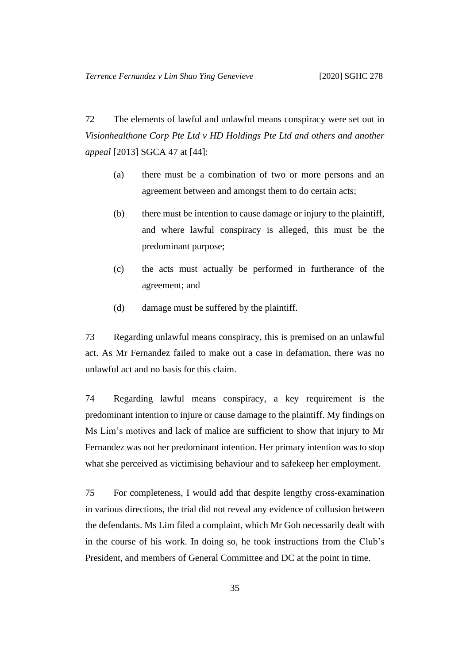72 The elements of lawful and unlawful means conspiracy were set out in *Visionhealthone Corp Pte Ltd v HD Holdings Pte Ltd and others and another appeal* [2013] SGCA 47 at [44]:

- (a) there must be a combination of two or more persons and an agreement between and amongst them to do certain acts;
- (b) there must be intention to cause damage or injury to the plaintiff, and where lawful conspiracy is alleged, this must be the predominant purpose;
- (c) the acts must actually be performed in furtherance of the agreement; and
- (d) damage must be suffered by the plaintiff.

73 Regarding unlawful means conspiracy, this is premised on an unlawful act. As Mr Fernandez failed to make out a case in defamation, there was no unlawful act and no basis for this claim.

74 Regarding lawful means conspiracy, a key requirement is the predominant intention to injure or cause damage to the plaintiff. My findings on Ms Lim's motives and lack of malice are sufficient to show that injury to Mr Fernandez was not her predominant intention. Her primary intention was to stop what she perceived as victimising behaviour and to safekeep her employment.

75 For completeness, I would add that despite lengthy cross-examination in various directions, the trial did not reveal any evidence of collusion between the defendants. Ms Lim filed a complaint, which Mr Goh necessarily dealt with in the course of his work. In doing so, he took instructions from the Club's President, and members of General Committee and DC at the point in time.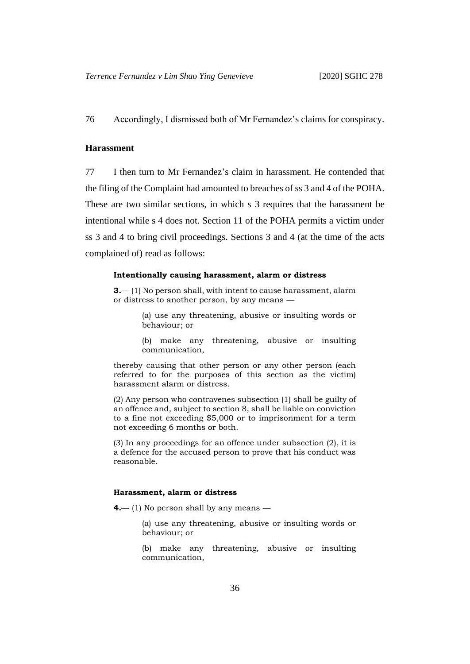76 Accordingly, I dismissed both of Mr Fernandez's claims for conspiracy.

#### <span id="page-37-0"></span>**Harassment**

77 I then turn to Mr Fernandez's claim in harassment. He contended that the filing of the Complaint had amounted to breaches of ss 3 and 4 of the POHA. These are two similar sections, in which s 3 requires that the harassment be intentional while s 4 does not. Section 11 of the POHA permits a victim under ss 3 and 4 to bring civil proceedings. Sections 3 and 4 (at the time of the acts complained of) read as follows:

#### **Intentionally causing harassment, alarm or distress**

**3.**— (1) No person shall, with intent to cause harassment, alarm or distress to another person, by any means —

> (a) use any threatening, abusive or insulting words or behaviour; or

> (b) make any threatening, abusive or insulting communication,

thereby causing that other person or any other person (each referred to for the purposes of this section as the victim) harassment alarm or distress.

(2) Any person who contravenes subsection (1) shall be guilty of an offence and, subject to section 8, shall be liable on conviction to a fine not exceeding \$5,000 or to imprisonment for a term not exceeding 6 months or both.

(3) In any proceedings for an offence under subsection (2), it is a defence for the accused person to prove that his conduct was reasonable.

#### **Harassment, alarm or distress**

**4.**— (1) No person shall by any means —

(a) use any threatening, abusive or insulting words or behaviour; or

(b) make any threatening, abusive or insulting communication,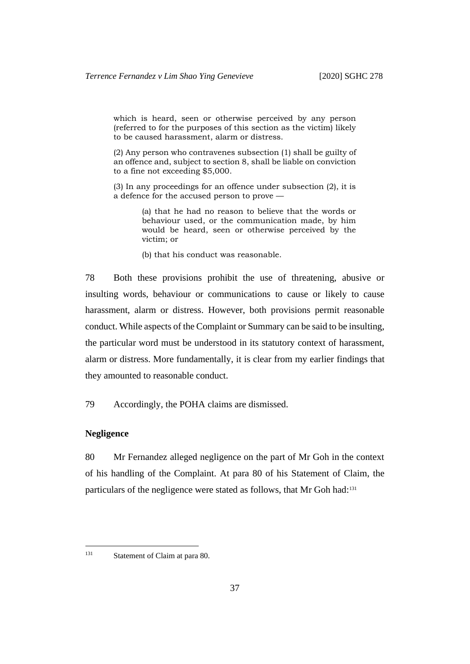which is heard, seen or otherwise perceived by any person (referred to for the purposes of this section as the victim) likely to be caused harassment, alarm or distress.

(2) Any person who contravenes subsection (1) shall be guilty of an offence and, subject to section 8, shall be liable on conviction to a fine not exceeding \$5,000.

(3) In any proceedings for an offence under subsection (2), it is a defence for the accused person to prove —

> (a) that he had no reason to believe that the words or behaviour used, or the communication made, by him would be heard, seen or otherwise perceived by the victim; or

(b) that his conduct was reasonable.

78 Both these provisions prohibit the use of threatening, abusive or insulting words, behaviour or communications to cause or likely to cause harassment, alarm or distress. However, both provisions permit reasonable conduct. While aspects of the Complaint or Summary can be said to be insulting, the particular word must be understood in its statutory context of harassment, alarm or distress. More fundamentally, it is clear from my earlier findings that they amounted to reasonable conduct.

79 Accordingly, the POHA claims are dismissed.

#### <span id="page-38-0"></span>**Negligence**

80 Mr Fernandez alleged negligence on the part of Mr Goh in the context of his handling of the Complaint. At para 80 of his Statement of Claim, the particulars of the negligence were stated as follows, that Mr Goh had:<sup>131</sup>

<sup>&</sup>lt;sup>131</sup> Statement of Claim at para 80.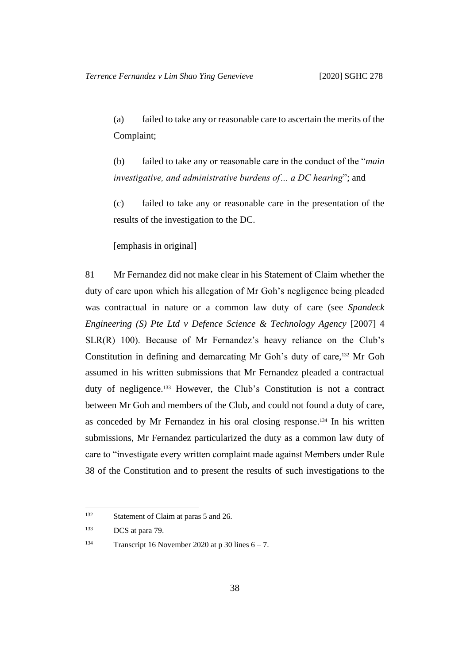(a) failed to take any or reasonable care to ascertain the merits of the Complaint;

(b) failed to take any or reasonable care in the conduct of the "*main investigative, and administrative burdens of… a DC hearing*"; and

(c) failed to take any or reasonable care in the presentation of the results of the investigation to the DC.

[emphasis in original]

81 Mr Fernandez did not make clear in his Statement of Claim whether the duty of care upon which his allegation of Mr Goh's negligence being pleaded was contractual in nature or a common law duty of care (see *Spandeck Engineering (S) Pte Ltd v Defence Science & Technology Agency [2007] 4* SLR(R) 100). Because of Mr Fernandez's heavy reliance on the Club's Constitution in defining and demarcating Mr Goh's duty of care, <sup>132</sup> Mr Goh assumed in his written submissions that Mr Fernandez pleaded a contractual duty of negligence.<sup>133</sup> However, the Club's Constitution is not a contract between Mr Goh and members of the Club, and could not found a duty of care, as conceded by Mr Fernandez in his oral closing response. <sup>134</sup> In his written submissions, Mr Fernandez particularized the duty as a common law duty of care to "investigate every written complaint made against Members under Rule 38 of the Constitution and to present the results of such investigations to the

<sup>&</sup>lt;sup>132</sup> Statement of Claim at paras 5 and 26.

<sup>133</sup> DCS at para 79.

<sup>&</sup>lt;sup>134</sup> Transcript 16 November 2020 at p 30 lines  $6 - 7$ .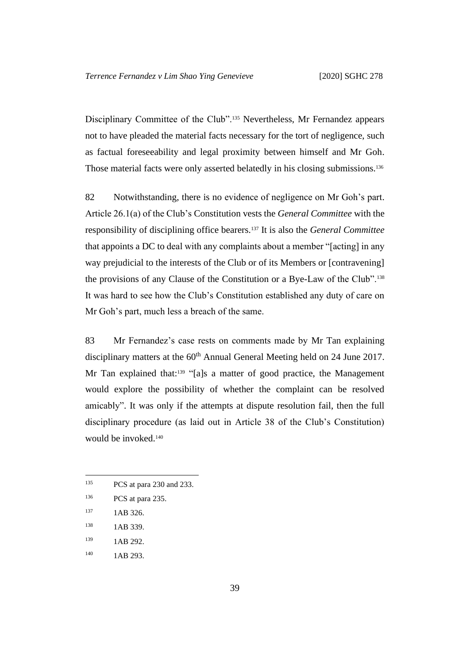Disciplinary Committee of the Club".<sup>135</sup> Nevertheless, Mr Fernandez appears not to have pleaded the material facts necessary for the tort of negligence, such as factual foreseeability and legal proximity between himself and Mr Goh. Those material facts were only asserted belatedly in his closing submissions.<sup>136</sup>

82 Notwithstanding, there is no evidence of negligence on Mr Goh's part. Article 26.1(a) of the Club's Constitution vests the *General Committee* with the responsibility of disciplining office bearers.<sup>137</sup> It is also the *General Committee* that appoints a DC to deal with any complaints about a member "[acting] in any way prejudicial to the interests of the Club or of its Members or [contravening] the provisions of any Clause of the Constitution or a Bye-Law of the Club".<sup>138</sup> It was hard to see how the Club's Constitution established any duty of care on Mr Goh's part, much less a breach of the same.

83 Mr Fernandez's case rests on comments made by Mr Tan explaining disciplinary matters at the 60<sup>th</sup> Annual General Meeting held on 24 June 2017. Mr Tan explained that:<sup>139</sup> "[a]s a matter of good practice, the Management would explore the possibility of whether the complaint can be resolved amicably". It was only if the attempts at dispute resolution fail, then the full disciplinary procedure (as laid out in Article 38 of the Club's Constitution) would be invoked.<sup>140</sup>

139 1AB 292.

<sup>135</sup> PCS at para 230 and 233.

<sup>136</sup> PCS at para 235.

<sup>137 1</sup>AB 326.

<sup>138 1</sup>AB 339.

<sup>140</sup> **1AB 293.**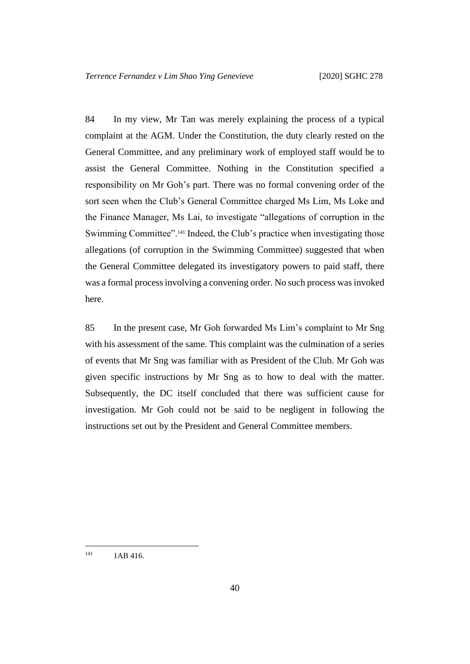84 In my view, Mr Tan was merely explaining the process of a typical complaint at the AGM. Under the Constitution, the duty clearly rested on the General Committee, and any preliminary work of employed staff would be to assist the General Committee. Nothing in the Constitution specified a responsibility on Mr Goh's part. There was no formal convening order of the sort seen when the Club's General Committee charged Ms Lim, Ms Loke and the Finance Manager, Ms Lai, to investigate "allegations of corruption in the Swimming Committee".<sup>141</sup> Indeed, the Club's practice when investigating those allegations (of corruption in the Swimming Committee) suggested that when the General Committee delegated its investigatory powers to paid staff, there was a formal process involving a convening order. No such process was invoked here.

85 In the present case, Mr Goh forwarded Ms Lim's complaint to Mr Sng with his assessment of the same. This complaint was the culmination of a series of events that Mr Sng was familiar with as President of the Club. Mr Goh was given specific instructions by Mr Sng as to how to deal with the matter. Subsequently, the DC itself concluded that there was sufficient cause for investigation. Mr Goh could not be said to be negligent in following the instructions set out by the President and General Committee members.

 $141$  1AB 416.